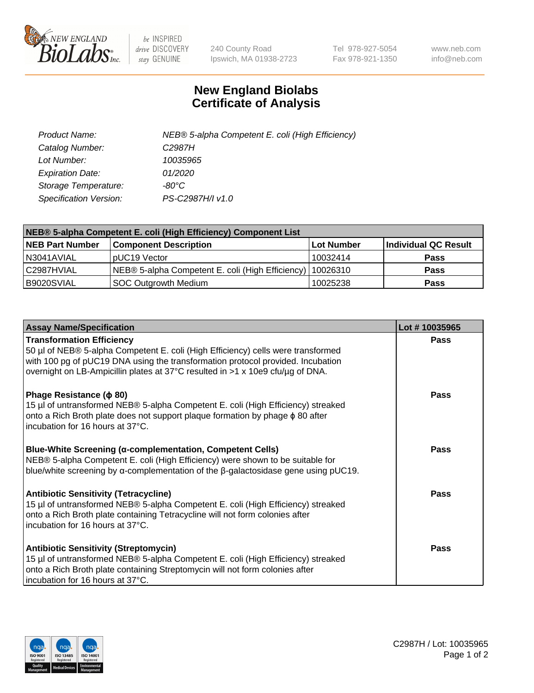

 $be$  INSPIRED drive DISCOVERY stay GENUINE

240 County Road Ipswich, MA 01938-2723 Tel 978-927-5054 Fax 978-921-1350 www.neb.com info@neb.com

## **New England Biolabs Certificate of Analysis**

| Product Name:           | NEB® 5-alpha Competent E. coli (High Efficiency) |
|-------------------------|--------------------------------------------------|
| Catalog Number:         | C <sub>2987</sub> H                              |
| Lot Number:             | 10035965                                         |
| <b>Expiration Date:</b> | 01/2020                                          |
| Storage Temperature:    | -80°C                                            |
| Specification Version:  | PS-C2987H/I v1.0                                 |

| NEB® 5-alpha Competent E. coli (High Efficiency) Component List |                                                             |                   |                      |  |
|-----------------------------------------------------------------|-------------------------------------------------------------|-------------------|----------------------|--|
| <b>NEB Part Number</b>                                          | <b>Component Description</b>                                | <b>Lot Number</b> | Individual QC Result |  |
| N3041AVIAL                                                      | pUC19 Vector                                                | 10032414          | <b>Pass</b>          |  |
| C2987HVIAL                                                      | NEB® 5-alpha Competent E. coli (High Efficiency)   10026310 |                   | <b>Pass</b>          |  |
| B9020SVIAL                                                      | <b>SOC Outgrowth Medium</b>                                 | 10025238          | <b>Pass</b>          |  |

| <b>Assay Name/Specification</b>                                                                                                                                                                                                                                                           | Lot #10035965 |
|-------------------------------------------------------------------------------------------------------------------------------------------------------------------------------------------------------------------------------------------------------------------------------------------|---------------|
| <b>Transformation Efficiency</b><br>50 µl of NEB® 5-alpha Competent E. coli (High Efficiency) cells were transformed<br>with 100 pg of pUC19 DNA using the transformation protocol provided. Incubation<br>overnight on LB-Ampicillin plates at 37°C resulted in >1 x 10e9 cfu/µg of DNA. | Pass          |
| Phage Resistance ( $\phi$ 80)<br>15 µl of untransformed NEB® 5-alpha Competent E. coli (High Efficiency) streaked<br>onto a Rich Broth plate does not support plaque formation by phage $\phi$ 80 after<br>incubation for 16 hours at 37°C.                                               | Pass          |
| <b>Blue-White Screening (α-complementation, Competent Cells)</b><br>NEB® 5-alpha Competent E. coli (High Efficiency) were shown to be suitable for<br>blue/white screening by $\alpha$ -complementation of the $\beta$ -galactosidase gene using pUC19.                                   | Pass          |
| Antibiotic Sensitivity (Tetracycline)<br>15 µl of untransformed NEB® 5-alpha Competent E. coli (High Efficiency) streaked<br>onto a Rich Broth plate containing Tetracycline will not form colonies after<br>incubation for 16 hours at 37°C.                                             | Pass          |
| <b>Antibiotic Sensitivity (Streptomycin)</b><br>15 µl of untransformed NEB® 5-alpha Competent E. coli (High Efficiency) streaked<br>onto a Rich Broth plate containing Streptomycin will not form colonies after<br>incubation for 16 hours at 37°C.                                      | Pass          |